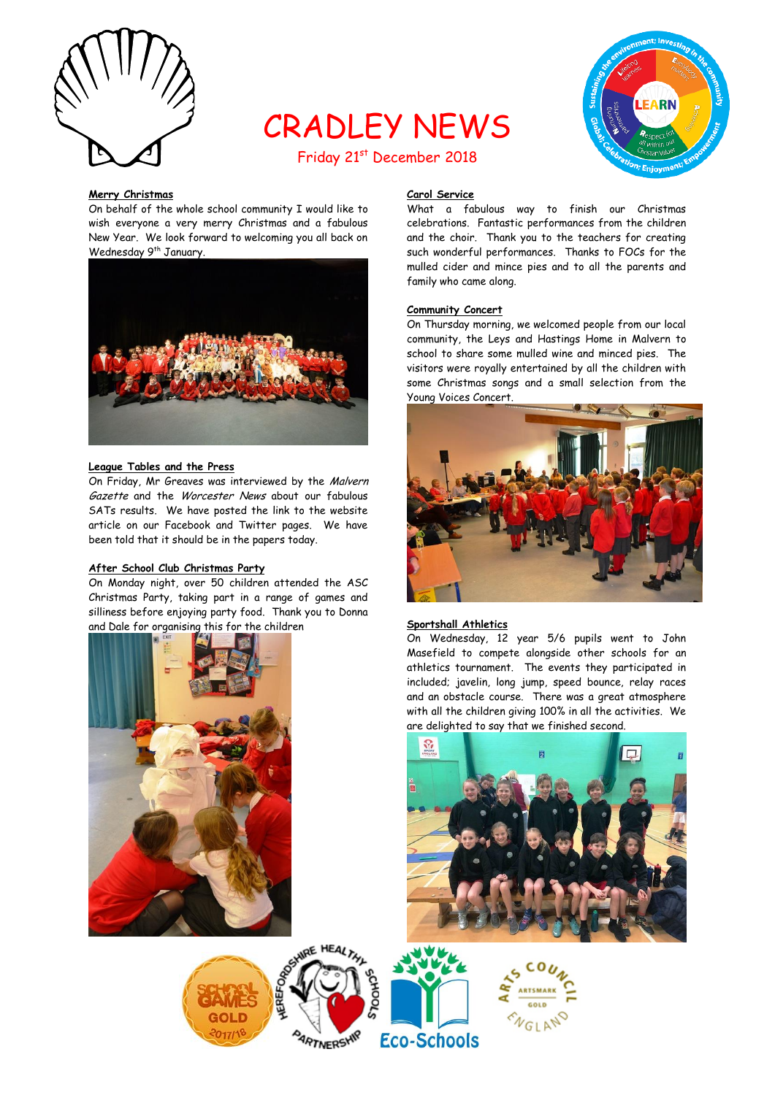

# CRADLEY NEWS



## Friday 21<sup>st</sup> December 2018

#### **Merry Christmas**

On behalf of the whole school community I would like to wish everyone a very merry Christmas and a fabulous New Year. We look forward to welcoming you all back on Wednesday 9<sup>th</sup> January.



#### **League Tables and the Press**

On Friday, Mr Greaves was interviewed by the Malvern Gazette and the Worcester News about our fabulous SATs results. We have posted the link to the website article on our Facebook and Twitter pages. We have been told that it should be in the papers today.

#### **After School Club Christmas Party**

On Monday night, over 50 children attended the ASC Christmas Party, taking part in a range of games and silliness before enjoying party food. Thank you to Donna and Dale for organising this for the children



### **Carol Service**

What a fabulous way to finish our Christmas celebrations. Fantastic performances from the children and the choir. Thank you to the teachers for creating such wonderful performances. Thanks to FOCs for the mulled cider and mince pies and to all the parents and family who came along.

#### **Community Concert**

On Thursday morning, we welcomed people from our local community, the Leys and Hastings Home in Malvern to school to share some mulled wine and minced pies. The visitors were royally entertained by all the children with some Christmas songs and a small selection from the Young Voices Concert.



#### **Sportshall Athletics**

On Wednesday, 12 year 5/6 pupils went to John Masefield to compete alongside other schools for an athletics tournament. The events they participated in included; javelin, long jump, speed bounce, relay races and an obstacle course. There was a great atmosphere with all the children giving 100% in all the activities. We are delighted to say that we finished second.



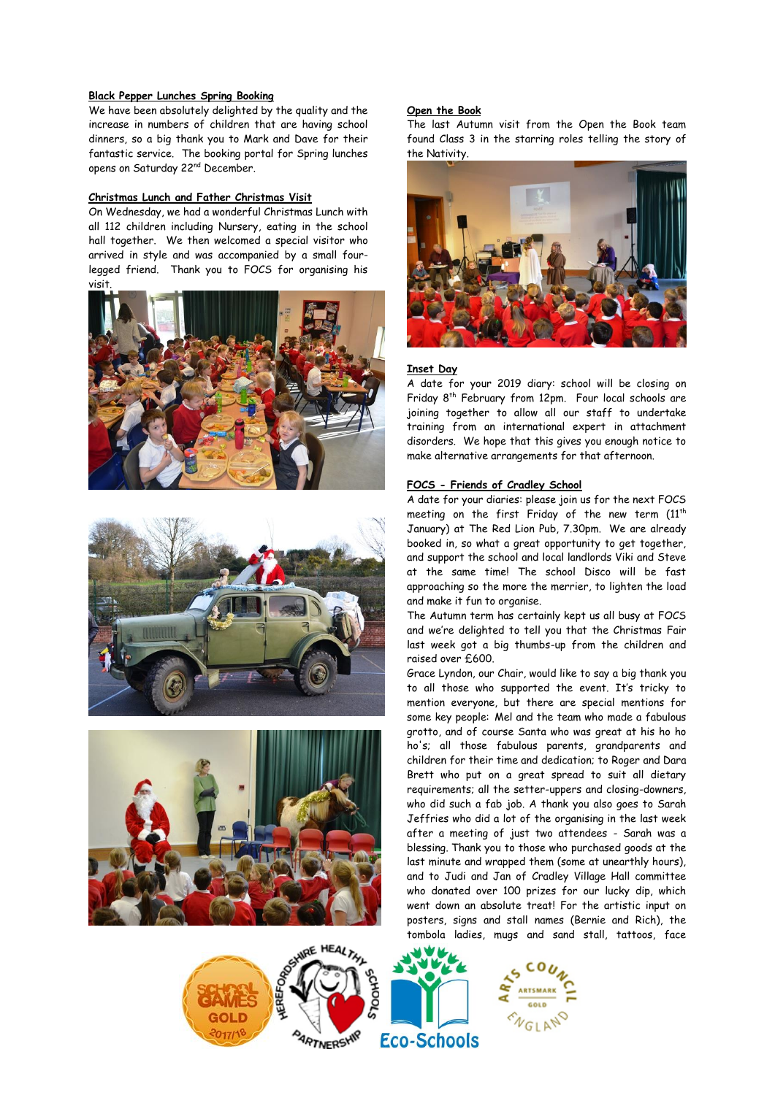#### **Black Pepper Lunches Spring Booking**

We have been absolutely delighted by the quality and the increase in numbers of children that are having school dinners, so a big thank you to Mark and Dave for their fantastic service. The booking portal for Spring lunches opens on Saturday 22nd December.

#### **Christmas Lunch and Father Christmas Visit**

On Wednesday, we had a wonderful Christmas Lunch with all 112 children including Nursery, eating in the school hall together. We then welcomed a special visitor who arrived in style and was accompanied by a small fourlegged friend. Thank you to FOCS for organising his visit.









The last Autumn visit from the Open the Book team found Class 3 in the starring roles telling the story of

#### **Inset Day**

**Open the Book**

the Nativity.

A date for your 2019 diary: school will be closing on Friday 8<sup>th</sup> February from 12pm. Four local schools are joining together to allow all our staff to undertake training from an international expert in attachment disorders. We hope that this gives you enough notice to make alternative arrangements for that afternoon.

#### **FOCS - Friends of Cradley School**

A date for your diaries: please join us for the next FOCS meeting on the first Friday of the new term  $(11<sup>th</sup>)$ January) at The Red Lion Pub, 7.30pm. We are already booked in, so what a great opportunity to get together, and support the school and local landlords Viki and Steve at the same time! The school Disco will be fast approaching so the more the merrier, to lighten the load and make it fun to organise.

The Autumn term has certainly kept us all busy at FOCS and we're delighted to tell you that the Christmas Fair last week got a big thumbs-up from the children and raised over £600.

Grace Lyndon, our Chair, would like to say a big thank you to all those who supported the event. It's tricky to mention everyone, but there are special mentions for some key people: Mel and the team who made a fabulous grotto, and of course Santa who was great at his ho ho ho's; all those fabulous parents, grandparents and children for their time and dedication; to Roger and Dara Brett who put on a great spread to suit all dietary requirements; all the setter-uppers and closing-downers, who did such a fab job. A thank you also goes to Sarah Jeffries who did a lot of the organising in the last week after a meeting of just two attendees - Sarah was a blessing. Thank you to those who purchased goods at the last minute and wrapped them (some at unearthly hours), and to Judi and Jan of Cradley Village Hall committee who donated over 100 prizes for our lucky dip, which went down an absolute treat! For the artistic input on posters, signs and stall names (Bernie and Rich), the tombola ladies, mugs and sand stall, tattoos, face